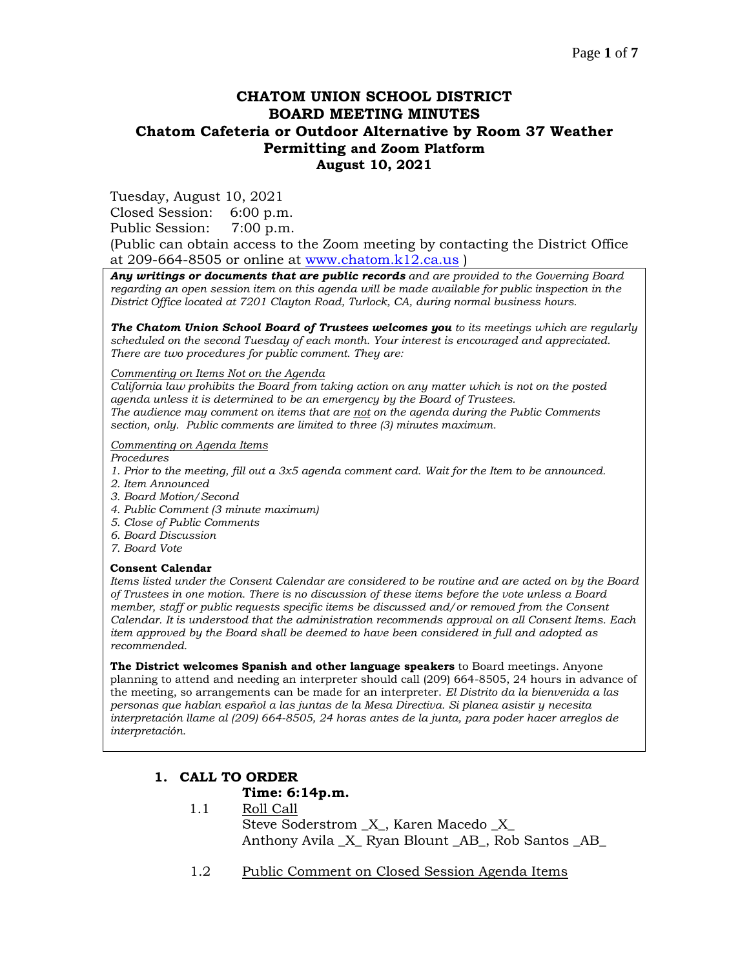# **CHATOM UNION SCHOOL DISTRICT BOARD MEETING MINUTES Chatom Cafeteria or Outdoor Alternative by Room 37 Weather Permitting and Zoom Platform August 10, 2021**

Tuesday, August 10, 2021

Closed Session: 6:00 p.m.

Public Session: 7:00 p.m.

(Public can obtain access to the Zoom meeting by contacting the District Office at 209-664-8505 or online at [www.chatom.k12.ca.us](http://www.chatom.k12.ca.us/) )

*Any writings or documents that are public records and are provided to the Governing Board regarding an open session item on this agenda will be made available for public inspection in the District Office located at 7201 Clayton Road, Turlock, CA, during normal business hours.*

*The Chatom Union School Board of Trustees welcomes you to its meetings which are regularly scheduled on the second Tuesday of each month. Your interest is encouraged and appreciated. There are two procedures for public comment. They are:*

*Commenting on Items Not on the Agenda*

*California law prohibits the Board from taking action on any matter which is not on the posted agenda unless it is determined to be an emergency by the Board of Trustees. The audience may comment on items that are not on the agenda during the Public Comments section, only. Public comments are limited to three (3) minutes maximum.*

*Commenting on Agenda Items*

*Procedures* 

- *1. Prior to the meeting, fill out a 3x5 agenda comment card. Wait for the Item to be announced.*
- *2. Item Announced*
- *3. Board Motion/Second*
- *4. Public Comment (3 minute maximum)*
- *5. Close of Public Comments*
- *6. Board Discussion*
- *7. Board Vote*

#### **Consent Calendar**

*Items listed under the Consent Calendar are considered to be routine and are acted on by the Board of Trustees in one motion. There is no discussion of these items before the vote unless a Board member, staff or public requests specific items be discussed and/or removed from the Consent Calendar. It is understood that the administration recommends approval on all Consent Items. Each item approved by the Board shall be deemed to have been considered in full and adopted as recommended.*

**The District welcomes Spanish and other language speakers** to Board meetings. Anyone planning to attend and needing an interpreter should call (209) 664-8505, 24 hours in advance of the meeting, so arrangements can be made for an interpreter. *El Distrito da la bienvenida a las personas que hablan español a las juntas de la Mesa Directiva. Si planea asistir y necesita interpretación llame al (209) 664-8505, 24 horas antes de la junta, para poder hacer arreglos de interpretación.*

# **1. CALL TO ORDER**

### **Time: 6:14p.m.**

- 1.1 Roll Call Steve Soderstrom \_X\_, Karen Macedo \_X\_ Anthony Avila \_X\_ Ryan Blount \_AB\_, Rob Santos \_AB\_
- 1.2 Public Comment on Closed Session Agenda Items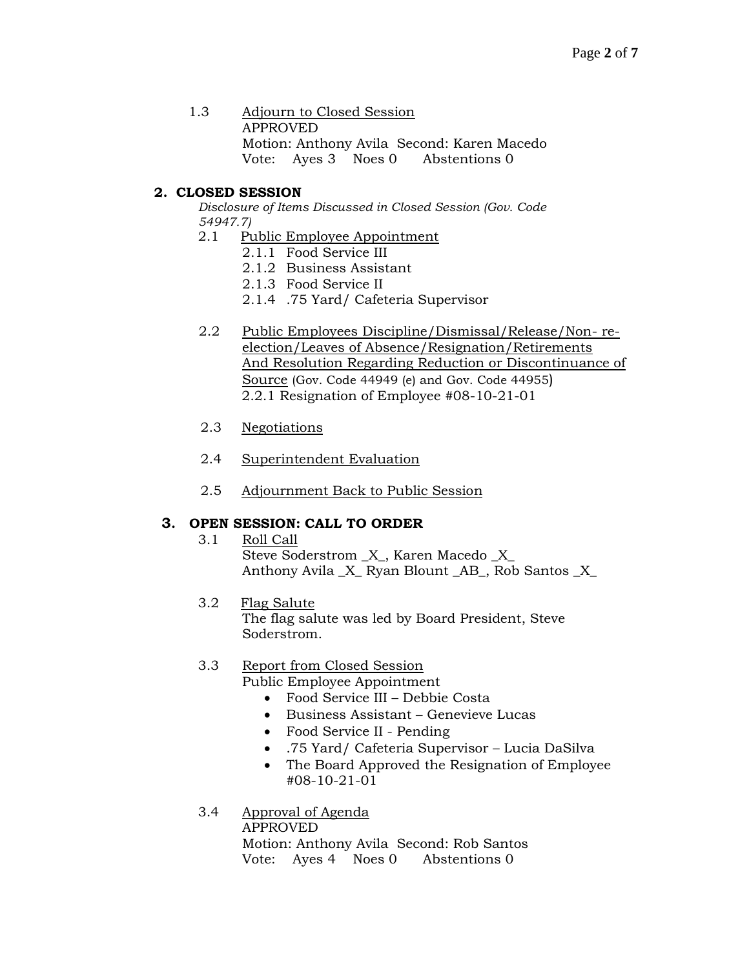1.3 Adjourn to Closed Session APPROVED Motion: Anthony Avila Second: Karen Macedo Vote: Ayes 3 Noes 0 Abstentions 0

# **2. CLOSED SESSION**

*Disclosure of Items Discussed in Closed Session (Gov. Code 54947.7)*

- 2.1 Public Employee Appointment
	- 2.1.1 Food Service III
	- 2.1.2 Business Assistant
	- 2.1.3 Food Service II
	- 2.1.4 .75 Yard/ Cafeteria Supervisor
- 2.2 Public Employees Discipline/Dismissal/Release/Non- reelection/Leaves of Absence/Resignation/Retirements And Resolution Regarding Reduction or Discontinuance of Source (Gov. Code 44949 (e) and Gov. Code 44955) 2.2.1 Resignation of Employee #08-10-21-01
- 2.3 Negotiations
- 2.4 Superintendent Evaluation
- 2.5 Adjournment Back to Public Session

## **3. OPEN SESSION: CALL TO ORDER**

- 3.1 Roll Call Steve Soderstrom \_X\_, Karen Macedo \_X\_ Anthony Avila \_X\_ Ryan Blount \_AB\_, Rob Santos \_X\_
- 3.2 Flag Salute The flag salute was led by Board President, Steve Soderstrom.

# 3.3 Report from Closed Session

Public Employee Appointment

- Food Service III Debbie Costa
- Business Assistant Genevieve Lucas
- Food Service II Pending
- .75 Yard/ Cafeteria Supervisor Lucia DaSilva
- The Board Approved the Resignation of Employee #08-10-21-01
- 3.4 Approval of Agenda

APPROVED Motion: Anthony Avila Second: Rob Santos Vote: Ayes 4 Noes 0 Abstentions 0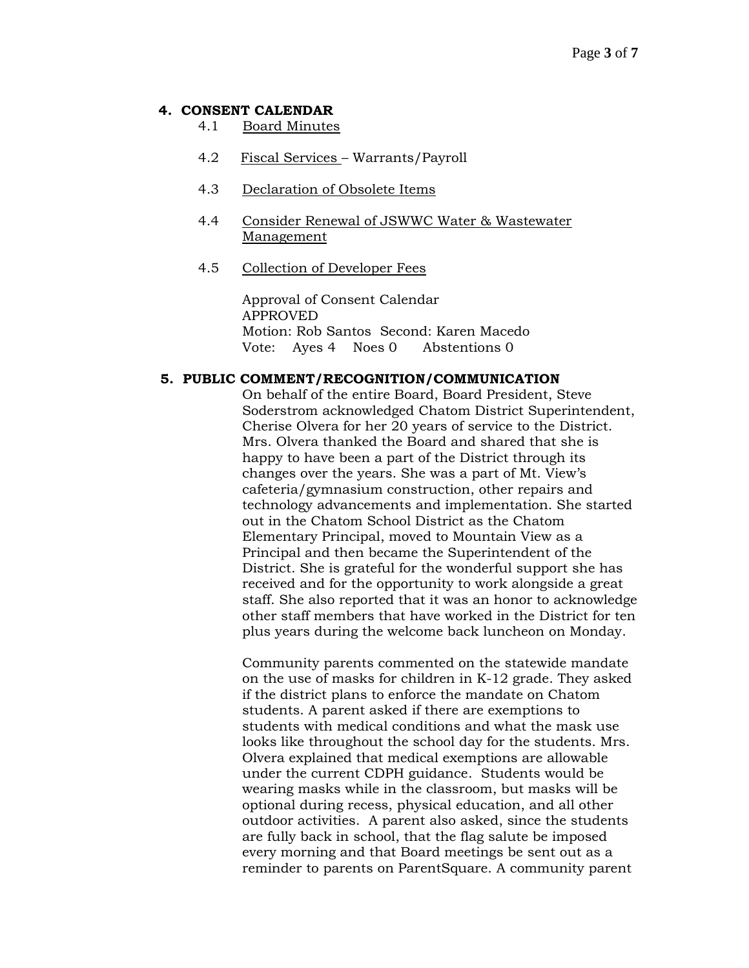### **4. CONSENT CALENDAR**

- 4.1 Board Minutes
- 4.2 Fiscal Services Warrants/Payroll
- 4.3 Declaration of Obsolete Items
- 4.4 Consider Renewal of JSWWC Water & Wastewater Management
- 4.5 Collection of Developer Fees

Approval of Consent Calendar APPROVED Motion: Rob Santos Second: Karen Macedo Vote: Ayes 4 Noes 0 Abstentions 0

#### **5. PUBLIC COMMENT/RECOGNITION/COMMUNICATION**

On behalf of the entire Board, Board President, Steve Soderstrom acknowledged Chatom District Superintendent, Cherise Olvera for her 20 years of service to the District. Mrs. Olvera thanked the Board and shared that she is happy to have been a part of the District through its changes over the years. She was a part of Mt. View's cafeteria/gymnasium construction, other repairs and technology advancements and implementation. She started out in the Chatom School District as the Chatom Elementary Principal, moved to Mountain View as a Principal and then became the Superintendent of the District. She is grateful for the wonderful support she has received and for the opportunity to work alongside a great staff. She also reported that it was an honor to acknowledge other staff members that have worked in the District for ten plus years during the welcome back luncheon on Monday.

Community parents commented on the statewide mandate on the use of masks for children in K-12 grade. They asked if the district plans to enforce the mandate on Chatom students. A parent asked if there are exemptions to students with medical conditions and what the mask use looks like throughout the school day for the students. Mrs. Olvera explained that medical exemptions are allowable under the current CDPH guidance. Students would be wearing masks while in the classroom, but masks will be optional during recess, physical education, and all other outdoor activities. A parent also asked, since the students are fully back in school, that the flag salute be imposed every morning and that Board meetings be sent out as a reminder to parents on ParentSquare. A community parent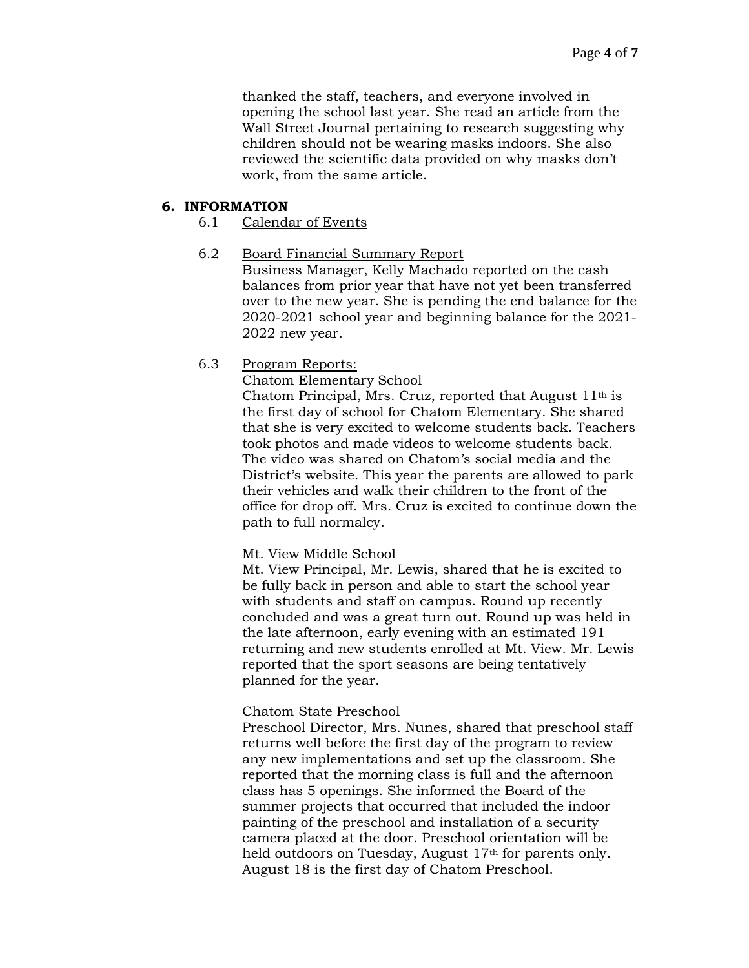thanked the staff, teachers, and everyone involved in opening the school last year. She read an article from the Wall Street Journal pertaining to research suggesting why children should not be wearing masks indoors. She also reviewed the scientific data provided on why masks don't work, from the same article.

### **6. INFORMATION**

### 6.1 Calendar of Events

### 6.2 Board Financial Summary Report

Business Manager, Kelly Machado reported on the cash balances from prior year that have not yet been transferred over to the new year. She is pending the end balance for the 2020-2021 school year and beginning balance for the 2021- 2022 new year.

## 6.3 Program Reports:

Chatom Elementary School

Chatom Principal, Mrs. Cruz, reported that August  $11<sup>th</sup>$  is the first day of school for Chatom Elementary. She shared that she is very excited to welcome students back. Teachers took photos and made videos to welcome students back. The video was shared on Chatom's social media and the District's website. This year the parents are allowed to park their vehicles and walk their children to the front of the office for drop off. Mrs. Cruz is excited to continue down the path to full normalcy.

### Mt. View Middle School

Mt. View Principal, Mr. Lewis, shared that he is excited to be fully back in person and able to start the school year with students and staff on campus. Round up recently concluded and was a great turn out. Round up was held in the late afternoon, early evening with an estimated 191 returning and new students enrolled at Mt. View. Mr. Lewis reported that the sport seasons are being tentatively planned for the year.

### Chatom State Preschool

Preschool Director, Mrs. Nunes, shared that preschool staff returns well before the first day of the program to review any new implementations and set up the classroom. She reported that the morning class is full and the afternoon class has 5 openings. She informed the Board of the summer projects that occurred that included the indoor painting of the preschool and installation of a security camera placed at the door. Preschool orientation will be held outdoors on Tuesday, August 17<sup>th</sup> for parents only. August 18 is the first day of Chatom Preschool.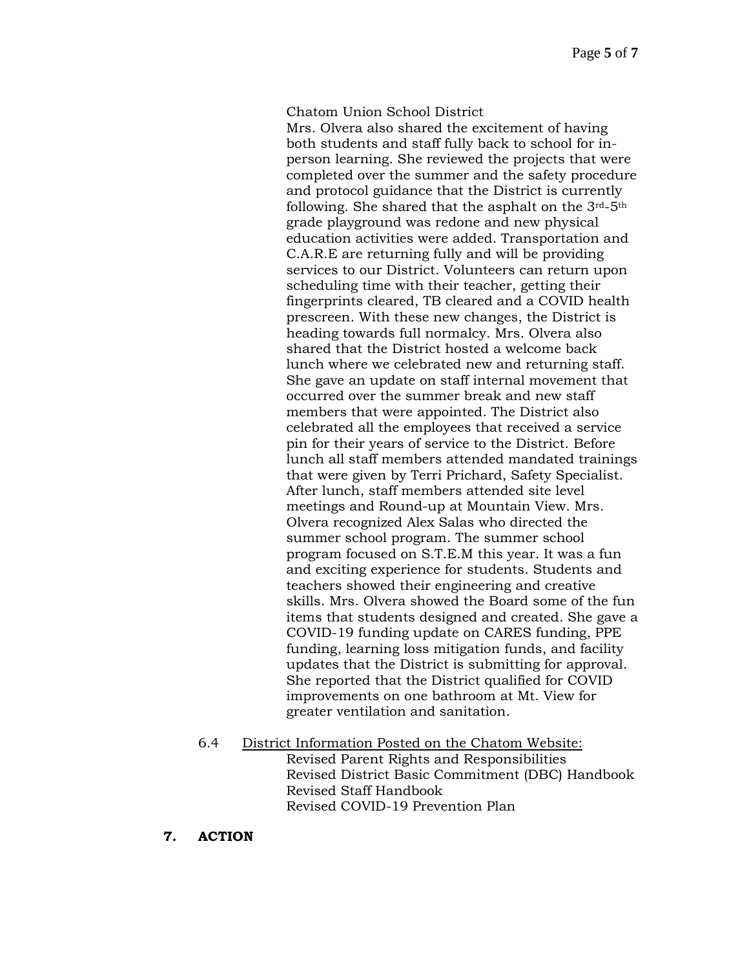#### Chatom Union School District

Mrs. Olvera also shared the excitement of having both students and staff fully back to school for inperson learning. She reviewed the projects that were completed over the summer and the safety procedure and protocol guidance that the District is currently following. She shared that the asphalt on the 3rd-5th grade playground was redone and new physical education activities were added. Transportation and C.A.R.E are returning fully and will be providing services to our District. Volunteers can return upon scheduling time with their teacher, getting their fingerprints cleared, TB cleared and a COVID health prescreen. With these new changes, the District is heading towards full normalcy. Mrs. Olvera also shared that the District hosted a welcome back lunch where we celebrated new and returning staff. She gave an update on staff internal movement that occurred over the summer break and new staff members that were appointed. The District also celebrated all the employees that received a service pin for their years of service to the District. Before lunch all staff members attended mandated trainings that were given by Terri Prichard, Safety Specialist. After lunch, staff members attended site level meetings and Round-up at Mountain View. Mrs. Olvera recognized Alex Salas who directed the summer school program. The summer school program focused on S.T.E.M this year. It was a fun and exciting experience for students. Students and teachers showed their engineering and creative skills. Mrs. Olvera showed the Board some of the fun items that students designed and created. She gave a COVID-19 funding update on CARES funding, PPE funding, learning loss mitigation funds, and facility updates that the District is submitting for approval. She reported that the District qualified for COVID improvements on one bathroom at Mt. View for greater ventilation and sanitation.

- 6.4 District Information Posted on the Chatom Website: Revised Parent Rights and Responsibilities Revised District Basic Commitment (DBC) Handbook Revised Staff Handbook Revised COVID-19 Prevention Plan
- **7. ACTION**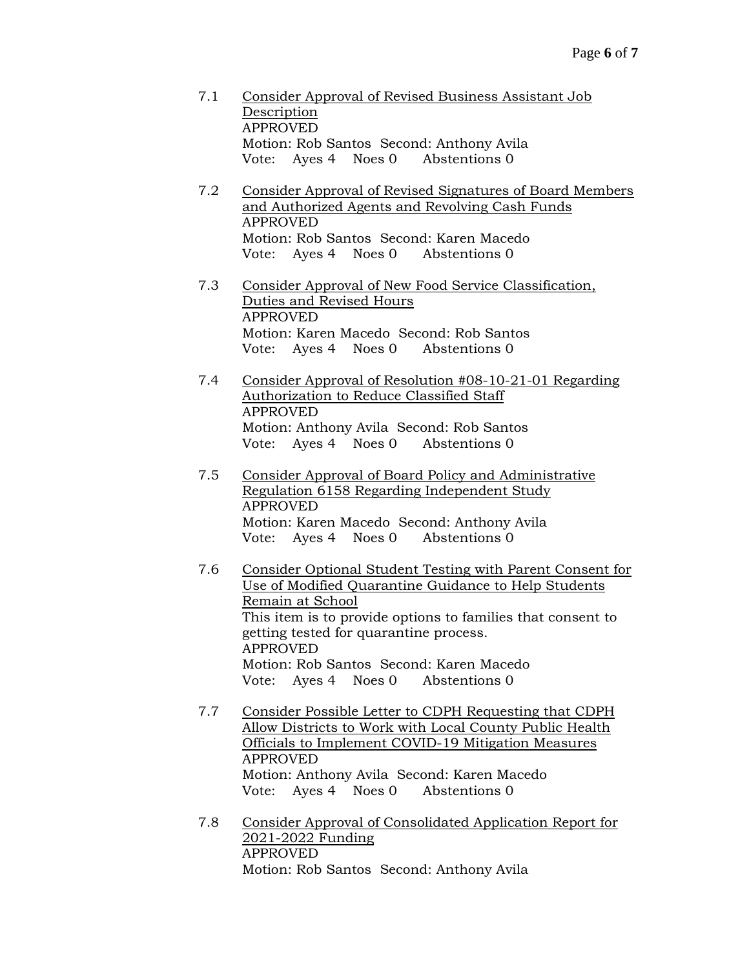- 7.1 Consider Approval of Revised Business Assistant Job Description APPROVED Motion: Rob Santos Second: Anthony Avila Vote: Ayes 4 Noes 0 Abstentions 0
- 7.2 Consider Approval of Revised Signatures of Board Members and Authorized Agents and Revolving Cash Funds APPROVED Motion: Rob Santos Second: Karen Macedo Vote: Ayes 4 Noes 0 Abstentions 0
- 7.3 Consider Approval of New Food Service Classification, Duties and Revised Hours APPROVED Motion: Karen Macedo Second: Rob Santos Vote: Ayes 4 Noes 0 Abstentions 0
- 7.4 Consider Approval of Resolution #08-10-21-01 Regarding Authorization to Reduce Classified Staff APPROVED Motion: Anthony Avila Second: Rob Santos Vote: Ayes 4 Noes 0 Abstentions 0
- 7.5 Consider Approval of Board Policy and Administrative Regulation 6158 Regarding Independent Study APPROVED Motion: Karen Macedo Second: Anthony Avila Vote: Ayes 4 Noes 0 Abstentions 0
- 7.6 Consider Optional Student Testing with Parent Consent for Use of Modified Quarantine Guidance to Help Students Remain at School This item is to provide options to families that consent to getting tested for quarantine process. APPROVED Motion: Rob Santos Second: Karen Macedo Vote: Ayes 4 Noes 0 Abstentions 0
- 7.7 Consider Possible Letter to CDPH Requesting that CDPH Allow Districts to Work with Local County Public Health Officials to Implement COVID-19 Mitigation Measures APPROVED Motion: Anthony Avila Second: Karen Macedo Vote: Ayes 4 Noes 0 Abstentions 0
- 7.8 Consider Approval of Consolidated Application Report for 2021-2022 Funding APPROVED Motion: Rob Santos Second: Anthony Avila